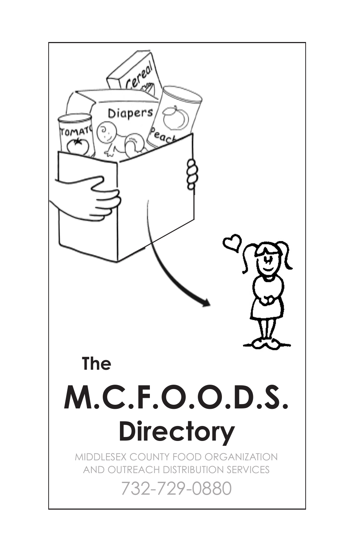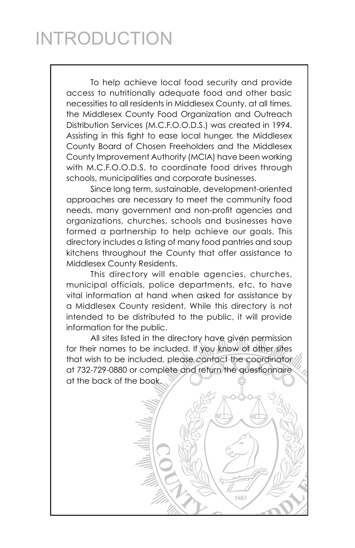## INTRODUCTION

To help achieve local food security and provide access to nutritionally adequate food and other basic necessities to all residents in Middlesex County, at all times, the Middlesex County Food Organization and Outreach Distribution Services (M.C.F.O.O.D.S.) was created in 1994. Assisting in this fight to ease local hunger, the Middlesex County Board of Chosen Freeholders and the Middlesex County Improvement Authority (MCIA) have been working with M.C.F.O.O.D.S. to coordinate food drives through schools, municipalities and corporate businesses.

Since long term, sustainable, development-oriented approaches are necessary to meet the community food needs, many government and non-profit agencies and organizations, churches, schools and businesses have formed a partnership to help achieve our goals. This directory includes a listing of many food pantries and soup kitchens throughout the County that offer assistance to Middlesex County Residents.

This directory will enable agencies, churches, municipal officials, police departments, etc. to have vital information at hand when asked for assistance by a Middlesex County resident. While this directory is not intended to be distributed to the public, it will provide information for the public.

All sites listed in the directory have given permission for their names to be included. If you know of other sites that wish to be included, please contact the coordinator at 732-729-0880 or complete and return the questionnaire at the back of the book.

1683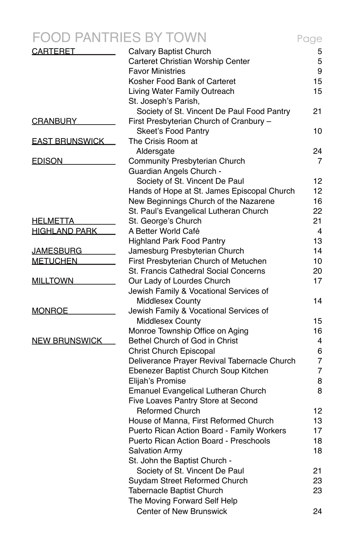|                       | S BY TOWN                                    | Page |
|-----------------------|----------------------------------------------|------|
| <b>CARTERET</b>       | Calvary Baptist Church                       | 5    |
|                       | Carteret Christian Worship Center            | 5    |
|                       | <b>Favor Ministries</b>                      | 9    |
|                       | Kosher Food Bank of Carteret                 | 15   |
|                       | Living Water Family Outreach                 | 15   |
|                       | St. Joseph's Parish,                         |      |
|                       | Society of St. Vincent De Paul Food Pantry   | 21   |
| <u>CRANBURY</u>       | First Presbyterian Church of Cranbury -      |      |
|                       | <b>Skeet's Food Pantry</b>                   | 10   |
| <b>EAST BRUNSWICK</b> | The Crisis Room at                           |      |
|                       | Aldersgate                                   | 24   |
| <b>EDISON</b>         | Community Presbyterian Church                | 7    |
|                       | Guardian Angels Church -                     |      |
|                       | Society of St. Vincent De Paul               | 12   |
|                       | Hands of Hope at St. James Episcopal Church  | 12   |
|                       | New Beginnings Church of the Nazarene        | 16   |
|                       | St. Paul's Evangelical Lutheran Church       | 22   |
| <u>HELMETTA</u>       | St. George's Church                          | 21   |
| <b>HIGHLAND PARK</b>  | A Better World Café                          | 4    |
|                       | <b>Highland Park Food Pantry</b>             | 13   |
| <u> JAMESBURG</u>     | Jamesburg Presbyterian Church                | 14   |
| <b>METUCHEN</b>       | First Presbyterian Church of Metuchen        | 10   |
|                       | St. Francis Cathedral Social Concerns        | 20   |
| <b>MILLTOWN</b>       | Our Lady of Lourdes Church                   | 17   |
|                       | Jewish Family & Vocational Services of       |      |
|                       | Middlesex County                             | 14   |
| <b>MONROE</b>         | Jewish Family & Vocational Services of       |      |
|                       | Middlesex County                             | 15   |
|                       | Monroe Township Office on Aging              | 16   |
| <b>NEW BRUNSWICK</b>  | Bethel Church of God in Christ               | 4    |
|                       | Christ Church Episcopal                      | 6    |
|                       | Deliverance Prayer Revival Tabernacle Church | 7    |
|                       | Ebenezer Baptist Church Soup Kitchen         | 7    |
|                       | Elijah's Promise                             | 8    |
|                       | Emanuel Evangelical Lutheran Church          | 8    |
|                       | Five Loaves Pantry Store at Second           |      |
|                       | <b>Reformed Church</b>                       | 12   |
|                       | House of Manna, First Reformed Church        | 13   |
|                       | Puerto Rican Action Board - Family Workers   | 17   |
|                       | Puerto Rican Action Board - Preschools       | 18   |
|                       | <b>Salvation Army</b>                        | 18   |
|                       | St. John the Baptist Church -                |      |
|                       | Society of St. Vincent De Paul               | 21   |
|                       | Suydam Street Reformed Church                | 23   |
|                       | Tabernacle Baptist Church                    | 23   |
|                       |                                              |      |

The Moving Forward Self Help 

Center of New Brunswick **24**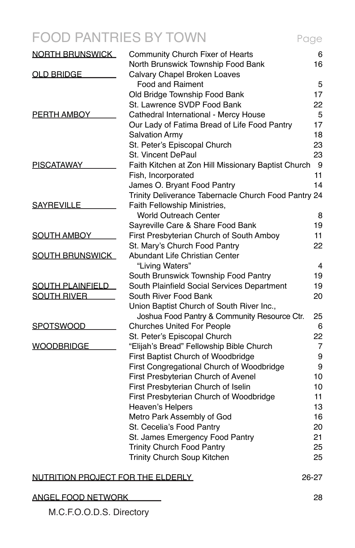## FOOD PANTRIES BY TOWN Page

| <b>NORTH BRUNSWICK</b>            | Community Church Fixer of Hearts                                      | 6        |
|-----------------------------------|-----------------------------------------------------------------------|----------|
|                                   | North Brunswick Township Food Bank                                    | 16       |
| <b>OLD BRIDGE</b>                 | Calvary Chapel Broken Loaves                                          |          |
|                                   | Food and Raiment                                                      | 5        |
|                                   | Old Bridge Township Food Bank<br>St. Lawrence SVDP Food Bank          | 17       |
|                                   |                                                                       | 22       |
| <u>PERTH AMBOY</u>                | Cathedral International - Mercy House                                 | 5<br>17  |
|                                   | Our Lady of Fatima Bread of Life Food Pantry<br><b>Salvation Army</b> |          |
|                                   |                                                                       | 18       |
|                                   | St. Peter's Episcopal Church<br>St. Vincent DePaul                    | 23<br>23 |
|                                   |                                                                       |          |
| <b>PISCATAWAY</b>                 | Faith Kitchen at Zon Hill Missionary Baptist Church                   | 9        |
|                                   | Fish, Incorporated                                                    | 11<br>14 |
|                                   | James O. Bryant Food Pantry                                           |          |
|                                   | Trinity Deliverance Tabernacle Church Food Pantry 24                  |          |
| <b>SAYREVILLE</b>                 | Faith Fellowship Ministries,                                          |          |
|                                   | <b>World Outreach Center</b>                                          | 8        |
|                                   | Sayreville Care & Share Food Bank                                     | 19       |
| <b>SOUTH AMBOY</b>                | First Presbyterian Church of South Amboy                              | 11       |
|                                   | St. Mary's Church Food Pantry                                         | 22       |
| <b>SOUTH BRUNSWICK</b>            | Abundant Life Christian Center                                        |          |
|                                   | "Living Waters"                                                       | 4        |
|                                   | South Brunswick Township Food Pantry                                  | 19       |
| <b>SOUTH PLAINFIELD</b>           | South Plainfield Social Services Department                           | 19       |
| <b>SOUTH RIVER</b>                | South River Food Bank                                                 | 20       |
|                                   | Union Baptist Church of South River Inc.,                             |          |
|                                   | Joshua Food Pantry & Community Resource Ctr.                          | 25       |
| <u>SPOTSWOOD</u>                  | <b>Churches United For People</b>                                     | 6        |
|                                   | St. Peter's Episcopal Church                                          | 22       |
| <u>WOODBRIDGE</u>                 | "Elijah's Bread" Fellowship Bible Church                              | 7        |
|                                   | First Baptist Church of Woodbridge                                    | 9        |
|                                   | First Congregational Church of Woodbridge                             | 9        |
|                                   | First Presbyterian Church of Avenel                                   | 10       |
|                                   | First Presbyterian Church of Iselin                                   | 10       |
|                                   | First Presbyterian Church of Woodbridge                               | 11       |
|                                   | Heaven's Helpers                                                      | 13       |
|                                   | Metro Park Assembly of God                                            | 16       |
|                                   | St. Cecelia's Food Pantry                                             | 20       |
|                                   | St. James Emergency Food Pantry                                       | 21       |
|                                   | Trinity Church Food Pantry                                            | 25       |
|                                   | Trinity Church Soup Kitchen                                           | 25       |
| NUTRITION PROJECT FOR THE ELDERLY |                                                                       | 26-27    |
|                                   |                                                                       |          |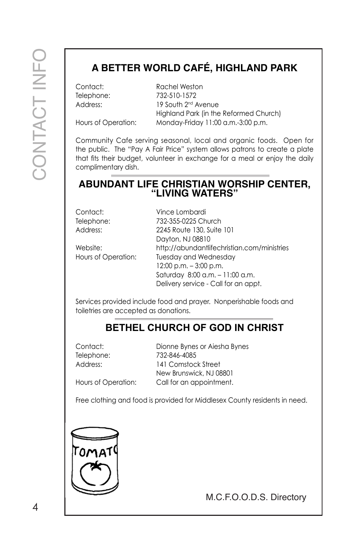## **A BETTER WORLD CAFÉ, HIGHLAND PARK**

Contact: Rachel Weston

Telephone: 732-510-1572 Address: 19 South 2<sup>nd</sup> Avenue Highland Park (in the Reformed Church) Hours of Operation: Monday-Friday 11:00 a.m.-3:00 p.m.

Community Cafe serving seasonal, local and organic foods. Open for the public. The "Pay A Fair Price" system allows patrons to create a plate that fits their budget, volunteer in exchange for a meal or enjoy the daily complimentary dish.

## **ABUNDANT LIFE CHRISTIAN WORSHIP CENTER, "LIVING WATERS"**

Contact: Vince Lombardi

Telephone: 732-355-0225 Church Address: 2245 Route 130, Suite 101 Dayton, NJ 08810 Website: http://abundantlifechristian.com/ministries Hours of Operation: Tuesday and Wednesday 12:00 p.m. – 3:00 p.m. Saturday 8:00 a.m. – 11:00 a.m. Delivery service - Call for an appt.

Services provided include food and prayer. Nonperishable foods and toiletries are accepted as donations.

#### **BETHEL CHURCH OF GOD IN CHRIST**

Contact: Dionne Bynes or Aiesha Bynes Telephone: 732-846-4085 Address: 141 Comstock Street New Brunswick, NJ 08801 Hours of Operation: Call for an appointment.

Free clothing and food is provided for Middlesex County residents in need.

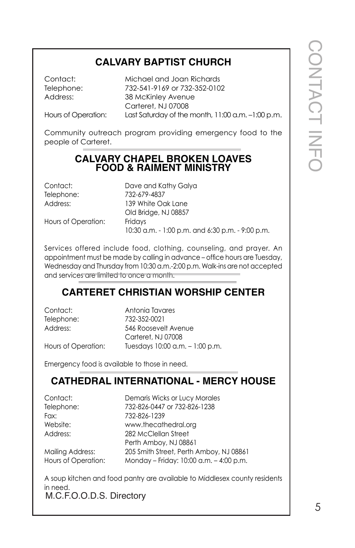### **CALVARY BAPTIST CHURCH**

Contact: Michael and Joan Richards Telephone: 732-541-9169 or 732-352-0102 Address: 38 McKinley Avenue Carteret, NJ 07008 Hours of Operation: Last Saturday of the month, 11:00 a.m. -1:00 p.m.

Community outreach program providing emergency food to the people of Carteret.

#### **CALVARY CHAPEL BROKEN LOAVES FOOD & RAIMENT MINISTRY**

| Contact:            | Dave and Kathy Galya                             |
|---------------------|--------------------------------------------------|
| Telephone:          | 732-679-4837                                     |
| Address:            | 139 White Oak Lane                               |
|                     | Old Bridge, NJ 08857                             |
| Hours of Operation: | Fridays                                          |
|                     | 10:30 a.m. - 1:00 p.m. and 6:30 p.m. - 9:00 p.m. |

Services offered include food, clothing, counseling, and prayer. An appointment must be made by calling in advance – office hours are Tuesday, Wednesday and Thursday from 10:30 a.m.-2:00 p.m. Walk-ins are not accepted and services are limited to once a month.

#### **CARTERET CHRISTIAN WORSHIP CENTER**

Contact: Antonia Tavares Telephone: 732-352-0021 Address: 546 Roosevelt Avenue Carteret, NJ 07008 Hours of Operation: Tuesdays 10:00 a.m. – 1:00 p.m.

Emergency food is available to those in need.

#### **CATHEDRAL INTERNATIONAL - MERCY HOUSE**

| Contact:   |
|------------|
| Telephone: |
| Fax:       |
| Website:   |
| Address:   |
|            |

Demaris Wicks or Lucy Morales 732-826-0447 or 732-826-1238 732-826-1239 www.thecathedral.org 282 McClellan Street Perth Amboy, NJ 08861 Mailing Address: 205 Smith Street, Perth Amboy, NJ 08861 Hours of Operation: Monday – Friday: 10:00 a.m. – 4:00 p.m.

M.C.F.O.O.D.S. Directory A soup kitchen and food pantry are available to Middlesex county residents in need.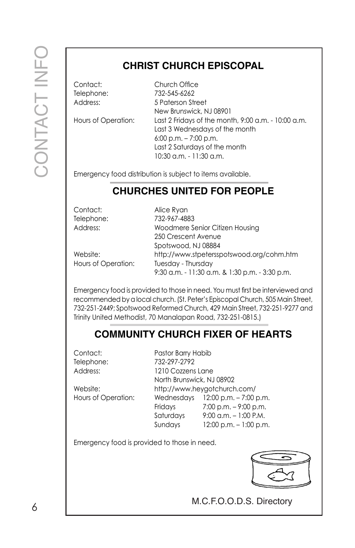## **CHRIST CHURCH EPISCOPAL**

Contact: Church Office Telephone: 732-545-6262 Address: 5 Paterson Street New Brunswick, NJ 08901 Hours of Operation: Last 2 Fridays of the month, 9:00 a.m. - 10:00 a.m. Last 3 Wednesdays of the month 6:00 p.m. – 7:00 p.m. Last 2 Saturdays of the month

Emergency food distribution is subject to items available.

#### **CHURCHES UNITED FOR PEOPLE**

10:30 a.m. - 11:30 a.m.

| Contact:            | Alice Ryan                                     |
|---------------------|------------------------------------------------|
| Telephone:          | 732-967-4883                                   |
| Address:            | Woodmere Senior Citizen Housing                |
|                     | 250 Crescent Avenue                            |
|                     | Spotswood, NJ 08884                            |
| Website:            | http://www.stpetersspotswood.org/cohm.htm      |
| Hours of Operation: | Tuesday - Thursday                             |
|                     | 9:30 a.m. - 11:30 a.m. & 1:30 p.m. - 3:30 p.m. |

Emergency food is provided to those in need. You must first be interviewed and recommended by a local church. (St. Peter's Episcopal Church, 505 Main Street, 732-251-2449; Spotswood Reformed Church, 429 Main Street, 732-251-9277 and Trinity United Methodist, 70 Manalapan Road, 732-251-0815.)

#### **COMMUNITY CHURCH FIXER OF HEARTS**

Contact: Pastor Barry Habib Telephone: 732-297-2792

Address: 1210 Cozzens Lane North Brunswick, NJ 08902 Website: http://www.heygotchurch.com/ Hours of Operation: Wednesdays 12:00 p.m. – 7:00 p.m. Fridays 7:00 p.m. – 9:00 p.m. Saturdays 9:00 a.m. – 1:00 P.M. Sundays 12:00 p.m. – 1:00 p.m.

Emergency food is provided to those in need.

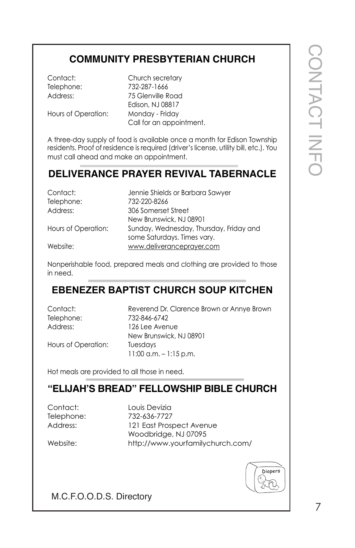## **COMMUNITY PRESBYTERIAN CHURCH**

Contact: Church secretary Telephone: 732-287-1666 Address: 75 Glenville Road Edison, NJ 08817 Hours of Operation: Monday - Friday Call for an appointment.

A three-day supply of food is available once a month for Edison Township residents. Proof of residence is required (driver's license, utility bill, etc.). You must call ahead and make an appointment.

## **DELIVERANCE PRAYER REVIVAL TABERNACLE**

| Contact:            | Jennie Shields or Barbara Sawyer                                       |
|---------------------|------------------------------------------------------------------------|
| Telephone:          | 732-220-8266                                                           |
| Address:            | 306 Somerset Street                                                    |
|                     | New Brunswick, NJ 08901                                                |
| Hours of Operation: | Sunday, Wednesday, Thursday, Friday and<br>some Saturdays. Times vary. |
| Website:            | www.deliveranceprayer.com                                              |

Nonperishable food, prepared meals and clothing are provided to those in need.

#### **EBENEZER BAPTIST CHURCH SOUP KITCHEN**

| Contact:   |  |
|------------|--|
| Telephone: |  |
| Address:   |  |

Reverend Dr. Clarence Brown or Annye Brown Telephone: 732-846-6742 126 Lee Avenue New Brunswick, NJ 08901 Hours of Operation: Tuesdays 11:00 a.m. – 1:15 p.m.

Hot meals are provided to all those in need.

#### **"ELIJAH'S BREAD" FELLOWSHIP BIBLE CHURCH**

Contact: Louis Devizia

Telephone: 732-636-7727 Address: 121 East Prospect Avenue Woodbridge, NJ 07095 Website: http://www.yourfamilychurch.com/



CONTACT CONTACT INFO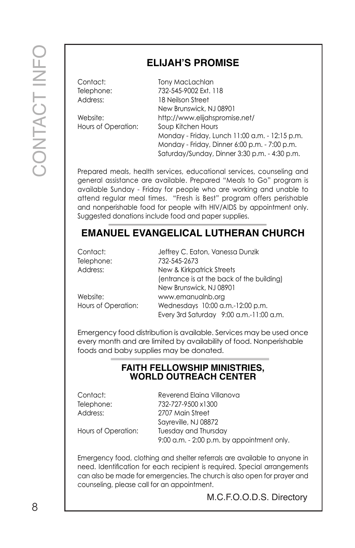### **ELIJAH'S PROMISE**

| Contact:            | Tony MacLachlan                                |
|---------------------|------------------------------------------------|
| Telephone:          | 732-545-9002 Ext. 118                          |
| Address:            | 18 Neilson Street                              |
|                     | New Brunswick, NJ 08901                        |
| Website:            | http://www.elijahspromise.net/                 |
| Hours of Operation: | Soup Kitchen Hours                             |
|                     | Monday - Friday, Lunch 11:00 a.m. - 12:15 p.m. |
|                     | Monday - Friday, Dinner 6:00 p.m. - 7:00 p.m.  |
|                     | Saturday/Sunday, Dinner 3:30 p.m. - 4:30 p.m.  |

Prepared meals, health services, educational services, counseling and general assistance are available. Prepared "Meals to Go" program is available Sunday - Friday for people who are working and unable to attend regular meal times. "Fresh is Best" program offers perishable and nonperishable food for people with HIV/AIDS by appointment only. Suggested donations include food and paper supplies.

#### **EMANUEL EVANGELICAL LUTHERAN CHURCH**

| Contact:            | Jeffrey C. Eaton, Vanessa Dunzik          |
|---------------------|-------------------------------------------|
| Telephone:          | 732-545-2673                              |
| Address:            | New & Kirkpatrick Streets                 |
|                     | (entrance is at the back of the building) |
|                     | New Brunswick, NJ 08901                   |
| Website:            | www.emanualnb.org                         |
| Hours of Operation: | Wednesdays 10:00 a.m.-12:00 p.m.          |
|                     | Every 3rd Saturday 9:00 a.m.-11:00 a.m.   |

Emergency food distribution is available. Services may be used once every month and are limited by availability of food. Nonperishable foods and baby supplies may be donated.

#### **FAITH FELLOWSHIP MINISTRIES, WORLD OUTREACH CENTER**

Contact: Reverend Elaina Villanova Telephone: 732-727-9500 x1300 Address: 2707 Main Street Sayreville, NJ 08872 Hours of Operation: Tuesday and Thursday 9:00 a.m. - 2:00 p.m. by appointment only.

Emergency food, clothing and shelter referrals are available to anyone in need. Identification for each recipient is required. Special arrangements can also be made for emergencies. The church is also open for prayer and counseling, please call for an appointment.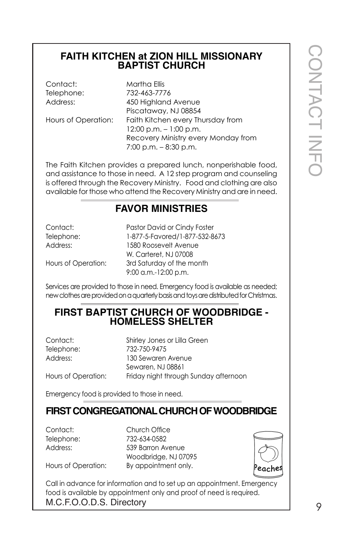#### **FAITH KITCHEN at ZION HILL MISSIONARY BAPTIST CHURCH**

### **FAVOR MINISTRIES**

| Contact:   |  |
|------------|--|
| Telephone: |  |
| Address:   |  |
|            |  |

#### **FIRST BAPTIST CHURCH OF WOODBRIDGE - HOMELESS SHELTER**

|                                                           | FAITH KITCHEN at ZION HILL MISSIONARY<br><b>BAPTIST CHURCH</b>                                                                                                                                                                                                                         |              |
|-----------------------------------------------------------|----------------------------------------------------------------------------------------------------------------------------------------------------------------------------------------------------------------------------------------------------------------------------------------|--------------|
| Contact:<br>Telephone:<br>Address:<br>Hours of Operation: | Martha Ellis<br>732-463-7776<br>450 Highland Avenue<br>Piscataway, NJ 08854<br>Faith Kitchen every Thursday from<br>$12:00$ p.m. $-1:00$ p.m.<br>Recovery Ministry every Monday from<br>$7:00$ p.m. $-8:30$ p.m.                                                                       | CONTACT INFC |
|                                                           | The Faith Kitchen provides a prepared lunch, nonperishable food,<br>and assistance to those in need. A 12 step program and counseling<br>is offered through the Recovery Ministry. Food and clothing are also<br>available for those who attend the Recovery Ministry and are in need. |              |
|                                                           | <b>FAVOR MINISTRIES</b>                                                                                                                                                                                                                                                                |              |
| Contact:<br>Telephone:<br>Address:<br>Hours of Operation: | Pastor David or Cindy Foster<br>1-877-5-Favored/1-877-532-8673<br>1580 Roosevelt Avenue<br>W. Carteret, NJ 07008<br>3rd Saturday of the month<br>9:00 a.m.-12:00 p.m.                                                                                                                  |              |
|                                                           | Services are provided to those in need. Emergency food is available as needed;<br>new clothes are provided on a quarterly basis and toys are distributed for Christmas.                                                                                                                |              |
|                                                           | <b>FIRST BAPTIST CHURCH OF WOODBRIDGE -</b><br><b>HOMELESS SHELTER</b>                                                                                                                                                                                                                 |              |
| Contact:<br>Telephone:<br>Address:<br>Hours of Operation: | Shirley Jones or Lilla Green<br>732-750-9475<br>130 Sewaren Avenue<br>Sewaren, NJ 08861<br>Friday night through Sunday afternoon                                                                                                                                                       |              |
| Emergency food is provided to those in need.              |                                                                                                                                                                                                                                                                                        |              |
|                                                           | FIRST CONGREGATIONAL CHURCH OF WOODBRIDGE                                                                                                                                                                                                                                              |              |
| Contact:<br>Telephone:<br>Address:<br>Hours of Operation: | Church Office<br>732-634-0582<br>539 Barron Avenue<br>Woodbridge, NJ 07095<br>By appointment only.<br>eaches<br>Call in advance for information and to set up an appointment. Emergency<br>food is available by appointment only and proof of need is required.                        |              |
| M.C.F.O.O.D.S. Directory                                  |                                                                                                                                                                                                                                                                                        | 9            |

## **FIRST CONGREGATIONAL CHURCH OF WOODBRIDGE**

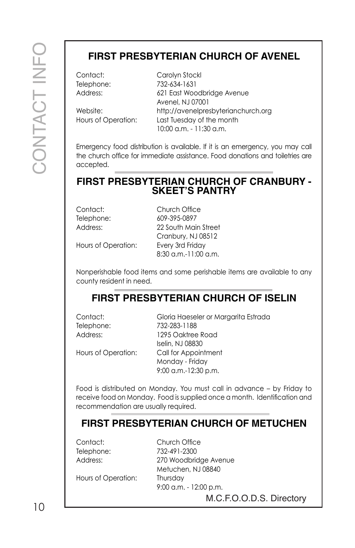### **FIRST PRESBYTERIAN CHURCH OF AVENEL**

Contact: Carolyn Stockl Telephone: 732-634-1631 Address: 621 East Woodbridge Avenue Avenel, NJ 07001 Website: http://avenelpresbyterianchurch.org Hours of Operation: Last Tuesday of the month 10:00 a.m. - 11:30 a.m.

Emergency food distribution is available. If it is an emergency, you may call the church office for immediate assistance. Food donations and toiletries are accepted.

#### **FIRST PRESBYTERIAN CHURCH OF CRANBURY - SKEET'S PANTRY**

Contact: Church Office Telephone: 609-395-0897 Address: 22 South Main Street Cranbury, NJ 08512 8:30 a.m.-11:00 a.m.

Hours of Operation: Every 3rd Friday

Nonperishable food items and some perishable items are available to any county resident in need.

#### **FIRST PRESBYTERIAN CHURCH OF ISELIN**

Telephone: 732-283-1188

Contact: Gloria Haeseler or Margarita Estrada Address: 1295 Oaktree Road

Iselin, NJ 08830 Hours of Operation: Call for Appointment Monday - Friday 9:00 a.m.-12:30 p.m.

Food is distributed on Monday. You must call in advance – by Friday to receive food on Monday. Food is supplied once a month. Identification and recommendation are usually required.

## **FIRST PRESBYTERIAN CHURCH OF METUCHEN**

Contact: Church Office Telephone: 732-491-2300

Address: 270 Woodbridge Avenue Metuchen, NJ 08840 9:00 a.m. - 12:00 p.m.

Hours of Operation: Thursday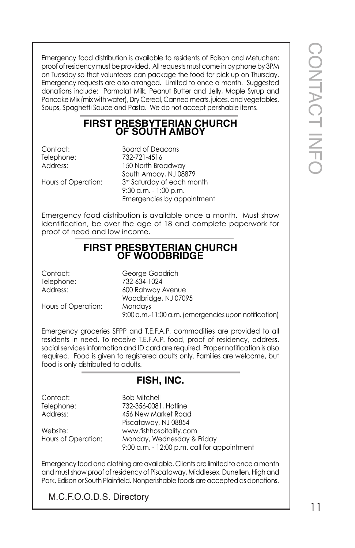Emergency food distribution is available to residents of Edison and Metuchen; proof of residency must be provided. All requests must come in by phone by 3PM on Tuesday so that volunteers can package the food for pick up on Thursday. Emergency requests are also arranged. Limited to once a month. Suggested donations include: Parmalat Milk, Peanut Butter and Jelly, Maple Syrup and Pancake Mix (mix with water), Dry Cereal, Canned meats, juices, and vegetables, Soups, Spaghetti Sauce and Pasta. We do not accept perishable items.

#### **FIRST PRESBYTERIAN CHURCH OF SOUTH AMBOY**

Contact: Board of Deacons Telephone: 732-721-4516 Address: 150 North Broadway South Amboy, NJ 08879 Hours of Operation: 3<sup>rd</sup> Saturday of each month 9:30 a.m. - 1:00 p.m. Emergencies by appointment

Emergency food distribution is available once a month. Must show identification, be over the age of 18 and complete paperwork for proof of need and low income.

#### **FIRST PRESBYTERIAN CHURCH OF WOODBRIDGE**

Contact: George Goodrich Telephone: 732-634-1024 Address: 600 Rahway Avenue Woodbridge, NJ 07095 Hours of Operation: Mondays 9:00 a.m.-11:00 a.m. (emergencies upon notification)

Emergency groceries SFPP and T.E.F.A.P. commodities are provided to all residents in need. To receive T.E.F.A.P. food, proof of residency, address, social services information and ID card are required. Proper notification is also required. Food is given to registered adults only. Families are welcome, but food is only distributed to adults.

#### **FISH, INC.**

Contact: Bob Mitchell

Telephone: 732-356-0081, Hotline Address: 456 New Market Road Piscataway, NJ 08854 Website: www.fishhospitality.com Hours of Operation: Monday, Wednesday & Friday 9:00 a.m. - 12:00 p.m. call for appointment

Emergency food and clothing are available. Clients are limited to once a month and must show proof of residency of Piscataway, Middlesex, Dunellen, Highland Park, Edison or South Plainfield. Nonperishable foods are accepted as donations.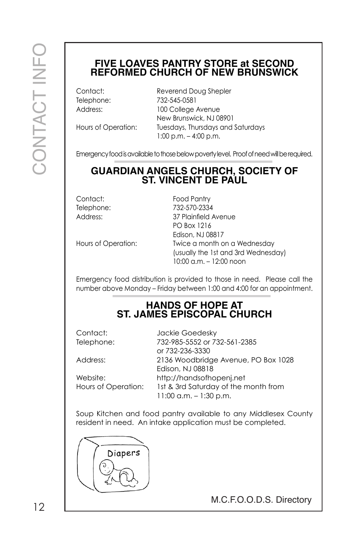#### **FIVE LOAVES PANTRY STORE at SECOND REFORMED CHURCH OF NEW BRUNSWICK**

Contact: Reverend Doug Shepler Telephone: 732-545-0581 Address: 100 College Avenue New Brunswick, NJ 08901 Hours of Operation: Tuesdays, Thursdays and Saturdays 1:00 p.m. – 4:00 p.m.

Emergency food is available to those below poverty level. Proof of need will be required.

## **GUARDIAN ANGELS CHURCH, SOCIETY OF ST. VINCENT DE PAUL**

Contact: Food Pantry Telephone: 732-570-2334 Address: 37 Plainfield Avenue PO Box 1216 Edison, NJ 08817 Hours of Operation: Twice a month on a Wednesday (usually the 1st and 3rd Wednesday) 10:00 a.m. – 12:00 noon

Emergency food distribution is provided to those in need. Please call the number above Monday – Friday between 1:00 and 4:00 for an appointment.

#### **HANDS OF HOPE AT ST. JAMES EPISCOPAL CHURCH**

Contact: Jackie Goedesky Telephone: 732-985-5552 or 732-561-2385 or 732-236-3330 Address: 2136 Woodbridge Avenue, PO Box 1028 Edison, NJ 08818 Website: http://handsofhopenj.net Hours of Operation: 1st & 3rd Saturday of the month from

Soup Kitchen and food pantry available to any Middlesex County resident in need. An intake application must be completed.

11:00 a.m. – 1:30 p.m.

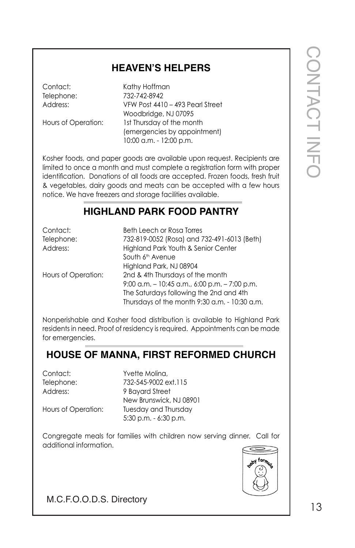#### **HEAVEN'S HELPERS**

#### **HIGHLAND PARK FOOD PANTRY**

|                                    | <b>HEAVEN'S HELPERS</b>                                                                                                                                                                                                                                                                                                                                                       |              |
|------------------------------------|-------------------------------------------------------------------------------------------------------------------------------------------------------------------------------------------------------------------------------------------------------------------------------------------------------------------------------------------------------------------------------|--------------|
| Contact:<br>Telephone:<br>Address: | Kathy Hoffman<br>732-742-8942<br>VFW Post 4410 - 493 Pearl Street<br>Woodbridge, NJ 07095                                                                                                                                                                                                                                                                                     | CONTACT INFC |
| Hours of Operation:                | 1st Thursday of the month<br>(emergencies by appointment)<br>10:00 a.m. - 12:00 p.m.                                                                                                                                                                                                                                                                                          |              |
|                                    | Kosher foods, and paper goods are available upon request. Recipients are<br>limited to once a month and must complete a registration form with proper<br>identification. Donations of all foods are accepted. Frozen foods, fresh fruit<br>& vegetables, dairy goods and meats can be accepted with a few hours<br>notice. We have freezers and storage facilities available. |              |
|                                    | <b>HIGHLAND PARK FOOD PANTRY</b>                                                                                                                                                                                                                                                                                                                                              |              |
| Contact:<br>Telephone:<br>Address: | <b>Beth Leech or Rosa Torres</b><br>732-819-0052 (Rosa) and 732-491-6013 (Beth)<br>Highland Park Youth & Senior Center<br>South 6 <sup>th</sup> Avenue<br>Highland Park, NJ 08904                                                                                                                                                                                             |              |
| Hours of Operation:                | 2nd & 4th Thursdays of the month<br>9:00 a.m. $-10:45$ a.m., 6:00 p.m. $-7:00$ p.m.<br>The Saturdays following the 2nd and 4th<br>Thursdays of the month 9:30 a.m. - 10:30 a.m.                                                                                                                                                                                               |              |
| for emergencies.                   | Nonperishable and Kosher food distribution is available to Highland Park<br>residents in need. Proof of residency is required. Appointments can be made                                                                                                                                                                                                                       |              |
|                                    | <b>HOUSE OF MANNA, FIRST REFORMED CHURCH</b>                                                                                                                                                                                                                                                                                                                                  |              |
| Contact:<br>Telephone:<br>Address: | Yvette Molina,<br>732-545-9002 ext.115<br>9 Bayard Street<br>New Brunswick, NJ 08901                                                                                                                                                                                                                                                                                          |              |
| Hours of Operation:                | Tuesday and Thursday<br>$5:30$ p.m. $-6:30$ p.m.                                                                                                                                                                                                                                                                                                                              |              |
| additional information.            | Congregate meals for families with children now serving dinner. Call for<br><sub>o'l</sub> forn                                                                                                                                                                                                                                                                               |              |
| M.C.F.O.O.D.S. Directory           |                                                                                                                                                                                                                                                                                                                                                                               | 13           |

## **HOUSE OF MANNA, FIRST REFORMED CHURCH**

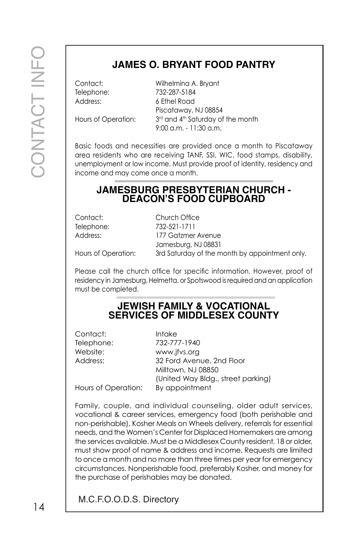### **JAMES O. BRYANT FOOD PANTRY**

Telephone: 732-287-5184 Address: 6 Ethel Road

Contact: Wilhelmina A. Bryant Piscataway, NJ 08854 Hours of Operation: 3<sup>rd</sup> and 4<sup>th</sup> Saturday of the month 9:00 a.m. - 11:30 a.m.

Basic foods and necessities are provided once a month to Piscataway area residents who are receiving TANF, SSI, WIC, food stamps, disability, unemployment or low income. Must provide proof of identity, residency and income and may come once a month.

#### **JAMESBURG PRESBYTERIAN CHURCH - DEACON'S FOOD CUPBOARD**

| Contact:            | Church Office                                  |
|---------------------|------------------------------------------------|
| Telephone:          | 732-521-1711                                   |
| Address:            | 177 Gatzmer Avenue                             |
|                     | Jamesburg, NJ 08831                            |
| Hours of Operation: | 3rd Saturday of the month by appointment only. |

Please call the church office for specific information. However, proof of residency in Jamesburg, Helmetta, or Spotswood is required and an application must be completed.

#### **JEWISH FAMILY & VOCATIONAL SERVICES OF MIDDLESEX COUNTY**

| Contact:            | <b>Intake</b>                      |
|---------------------|------------------------------------|
| Telephone:          | 732-777-1940                       |
| Website:            | www.jfvs.org                       |
| Address:            | 32 Ford Avenue, 2nd Floor          |
|                     | Milltown, NJ 08850                 |
|                     | (United Way Bldg., street parking) |
| Hours of Operation: | By appointment                     |

MES O. BR<br>
Milhelmone: T32-287<br>
Addess:<br>
Hours of Operation: T34 and<br>
Hous of Operation: T34 and<br>
The Bisic foods and necessities are<br>
unemployment or low income. M<br>
Income and may come once on<br> **JAMESBURG PRI**<br>
Contact:<br> Family, couple, and individual counseling, older adult services, vocational & career services, emergency food (both perishable and non-perishable), Kosher Meals on Wheels delivery, referrals for essential needs, and the Women's Center for Displaced Homemakers are among the services available. Must be a Middlesex County resident, 18 or older, must show proof of name & address and income. Requests are limited to once a month and no more than three times per year for emergency circumstances. Nonperishable food, preferably Kosher, and money for the purchase of perishables may be donated.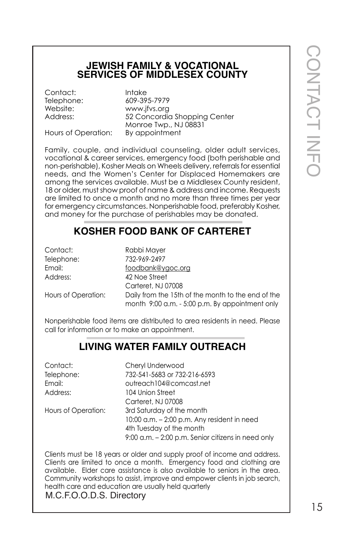#### **JEWISH FAMILY & VOCATIONAL SERVICES OF MIDDLESEX COUNTY**

Contact: Intake

Telephone: 609-395-7979 Website: www.jfvs.org Address: 52 Concordia Shopping Center Monroe Twp., NJ 08831 Hours of Operation: By appointment

Family, couple, and individual counseling, older adult services, vocational & career services, emergency food (both perishable and non-perishable), Kosher Meals on Wheels delivery, referrals for essential needs, and the Women's Center for Displaced Homemakers are among the services available. Must be a Middlesex County resident, 18 or older, must show proof of name & address and income. Requests are limited to once a month and no more than three times per year for emergency circumstances. Nonperishable food, preferably Kosher, and money for the purchase of perishables may be donated.

#### **KOSHER FOOD BANK OF CARTERET**

| Contact:            | Rabbi Mayer                                                                                           |
|---------------------|-------------------------------------------------------------------------------------------------------|
| Telephone:          | 732-969-2497                                                                                          |
| Email:              | foodbank@ygoc.org                                                                                     |
| Address:            | 42 Noe Street                                                                                         |
|                     | Carteret, NJ 07008                                                                                    |
| Hours of Operation: | Daily from the 15th of the month to the end of the<br>month 9:00 a.m. - 5:00 p.m. By appointment only |

Nonperishable food items are distributed to area residents in need. Please call for information or to make an appointment.

#### **LIVING WATER FAMILY OUTREACH**

| Contact:            | Cheryl Underwood                                   |
|---------------------|----------------------------------------------------|
| Telephone:          | 732-541-5683 or 732-216-6593                       |
| Email:              | outreach104@comcast.net                            |
| Address:            | 104 Union Street                                   |
|                     | Carteret, NJ 07008                                 |
| Hours of Operation: | 3rd Saturday of the month                          |
|                     | $10:00$ a.m. $-2:00$ p.m. Any resident in need     |
|                     | 4th Tuesday of the month                           |
|                     | 9:00 a.m. - 2:00 p.m. Senior citizens in need only |

Clients must be 18 years or older and supply proof of income and address. Clients are limited to once a month. Emergency food and clothing are available. Elder care assistance is also available to seniors in the area. Community workshops to assist, improve and empower clients in job search, health care and education are usually held quarterly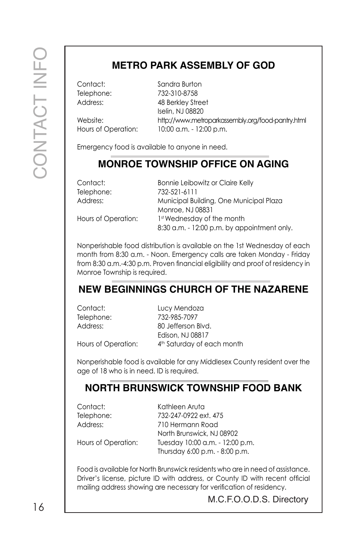## **METRO PARK ASSEMBLY OF GOD**

Contact: Sandra Burton

Telephone: 732-310-8758 Address: 48 Berkley Street Iselin, NJ 08820 Website: http://www.metroparkassembly.org/food-pantry.html Hours of Operation: 10:00 a.m. - 12:00 p.m.

Emergency food is available to anyone in need.

#### **MONROE TOWNSHIP OFFICE ON AGING**

| Contact:            | Bonnie Leibowitz or Claire Kelly                            |
|---------------------|-------------------------------------------------------------|
| Telephone:          | 732-521-6111                                                |
| Address:            | Municipal Building, One Municipal Plaza<br>Monroe, NJ 08831 |
| Hours of Operation: | 1st Wednesday of the month                                  |
|                     | 8:30 a.m. - 12:00 p.m. by appointment only.                 |

Nonperishable food distribution is available on the 1st Wednesday of each month from 8:30 a.m. - Noon. Emergency calls are taken Monday - Friday from 8:30 a.m.-4:30 p.m. Proven financial eligibility and proof of residency in Monroe Township is required.

#### **NEW BEGINNINGS CHURCH OF THE NAZARENE**

| Contact:            | Lucy Mendoza                           |
|---------------------|----------------------------------------|
| Telephone:          | 732-985-7097                           |
| Address:            | 80 Jefferson Blvd.                     |
|                     | Edison, NJ 08817                       |
| Hours of Operation: | 4 <sup>th</sup> Saturday of each month |

Nonperishable food is available for any Middlesex County resident over the age of 18 who is in need. ID is required.

#### **NORTH BRUNSWICK TOWNSHIP FOOD BANK**

| Contact:   |  |
|------------|--|
| Telephone: |  |
| Address:   |  |

Kathleen Aruta 732-247-0922 ext. 475 Address: 710 Hermann Road North Brunswick, NJ 08902 Hours of Operation: Tuesday 10:00 a.m. - 12:00 p.m. Thursday 6:00 p.m. - 8:00 p.m.

Food is available for North Brunswick residents who are in need of assistance. Driver's license, picture ID with address, or County ID with recent official mailing address showing are necessary for verification of residency.

16 and 16 and 16 and 16 and 16 and 16 and 16 and 16 and 16 and 16 and 16 and 16 and 16 and 16 and 16 and 16 and 16 and 16 and 16 and 16 and 16 and 16 and 16 and 16 and 16 and 16 and 16 and 16 and 16 and 16 and 16 and 16 an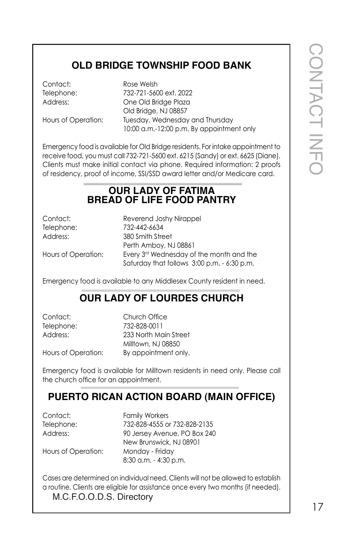### **OLD BRIDGE TOWNSHIP FOOD BANK**

Contact: Rose Welsh

Telephone: 732-721-5600 ext. 2022 Address: One Old Bridge Plaza Old Bridge, NJ 08857 Hours of Operation: Tuesday, Wednesday and Thursday 10:00 a.m.-12:00 p.m. By appointment only

Emergency food is available for Old Bridge residents. For intake appointment to receive food, you must call 732-721-5600 ext. 6215 (Sandy) or ext. 6625 (Diane). Clients must make initial contact via phone. Required information: 2 proofs of residency, proof of income, SSI/SSD award letter and/or Medicare card.

#### **OUR LADY OF FATIMA BREAD OF LIFE FOOD PANTRY**

Contact: Reverend Joshy Nirappel Telephone: 732-442-6634 Address: 380 Smith Street Perth Amboy, NJ 08861 Hours of Operation: Every 3<sup>rd</sup> Wednesday of the month and the Saturday that follows 3:00 p.m. - 6:30 p.m.

Emergency food is available to any Middlesex County resident in need.

#### **OUR LADY OF LOURDES CHURCH**

Contact: Church Office Telephone: 732-828-0011 Address: 233 North Main Street Milltown, NJ 08850 Hours of Operation: By appointment only.

Emergency food is available for Milltown residents in need only. Please call the church office for an appointment.

#### **PUERTO RICAN ACTION BOARD (MAIN OFFICE)**

Contact: Family Workers Telephone: 732-828-4555 or 732-828-2135 Address: 90 Jersey Avenue, PO Box 240 New Brunswick, NJ 08901 Hours of Operation: Monday - Friday 8:30 a.m. - 4:30 p.m.

Cases are determined on individual need. Clients will not be allowed to establish a routine. Clients are eligible for assistance once every two months (if needed).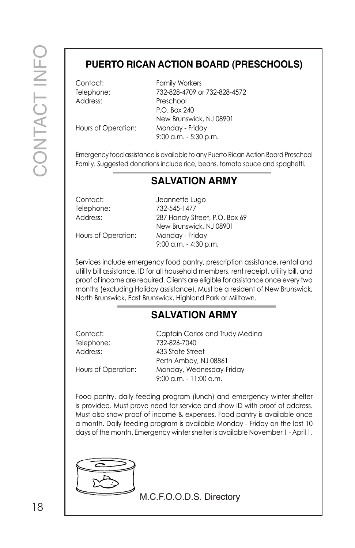#### **PUERTO RICAN ACTION BOARD (PRESCHOOLS)**

Address: Preschool

Contact: Family Workers Telephone: 732-828-4709 or 732-828-4572 P.O. Box 240 New Brunswick, NJ 08901 Hours of Operation: Monday - Friday 9:00 a.m. - 5:30 p.m.

Emergency food assistance is available to any Puerto Rican Action Board Preschool Family. Suggested donations include rice, beans, tomato sauce and spaghetti.

#### **SALVATION ARMY**

Contact: Jeannette Lugo Telephone: 732-545-1477 Address: 287 Handy Street, P.O. Box 69 New Brunswick, NJ 08901 Hours of Operation: Monday - Friday 9:00 a.m. - 4:30 p.m.

Services include emergency food pantry, prescription assistance, rental and utility bill assistance. ID for all household members, rent receipt, utility bill, and proof of income are required. Clients are eligible for assistance once every two months (excluding Holiday assistance). Must be a resident of New Brunswick, North Brunswick, East Brunswick, Highland Park or Milltown.

#### **SALVATION ARMY**

| Contact:            | Captain Carlos and Trudy Medina                       |
|---------------------|-------------------------------------------------------|
| Telephone:          | 732-826-7040                                          |
| Address:            | 433 State Street                                      |
|                     | Perth Amboy, NJ 08861                                 |
| Hours of Operation: | Monday, Wednesday-Friday<br>$9:00$ a.m. $-11:00$ a.m. |
|                     |                                                       |

Food pantry, daily feeding program (lunch) and emergency winter shelter is provided. Must prove need for service and show ID with proof of address. Must also show proof of income & expenses. Food pantry is available once a month. Daily feeding program is available Monday - Friday on the last 10 days of the month. Emergency winter shelter is available November 1 - April 1.

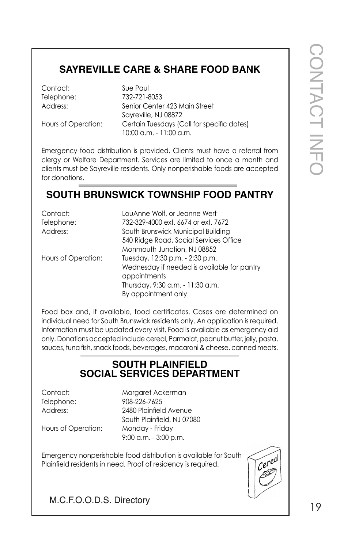## **SAYREVILLE CARE & SHARE FOOD BANK**

## **SOUTH BRUNSWICK TOWNSHIP FOOD PANTRY**

| Contact:                 | Sue Paul                                                                                                                                                       |
|--------------------------|----------------------------------------------------------------------------------------------------------------------------------------------------------------|
| Telephone:               | 732-721-8053                                                                                                                                                   |
| Address:                 | Senior Center 423 Main Street<br>Sayreville, NJ 08872                                                                                                          |
| Hours of Operation:      | Certain Tuesdays (Call for specific dates)<br>10:00 a.m. - 11:00 a.m.                                                                                          |
|                          |                                                                                                                                                                |
|                          | Emergency food distribution is provided. Clients must have a referral from                                                                                     |
|                          | clergy or Welfare Department. Services are limited to once a month and                                                                                         |
| for donations.           | clients must be Sayreville residents. Only nonperishable foods are accepted                                                                                    |
|                          | <b>SOUTH BRUNSWICK TOWNSHIP FOOD PANTRY</b>                                                                                                                    |
| Contact:                 | LouAnne Wolf, or Jeanne Wert                                                                                                                                   |
| Telephone:               | 732-329-4000 ext. 6674 or ext. 7672                                                                                                                            |
| Address:                 | South Brunswick Municipal Building                                                                                                                             |
|                          | 540 Ridge Road, Social Services Office                                                                                                                         |
|                          | Monmouth Junction, NJ 08852                                                                                                                                    |
| Hours of Operation:      | Tuesday, 12:30 p.m. - 2:30 p.m.                                                                                                                                |
|                          | Wednesday if needed is available for pantry<br>appointments                                                                                                    |
|                          | Thursday, 9:30 a.m. - 11:30 a.m.                                                                                                                               |
|                          | By appointment only                                                                                                                                            |
|                          | Food box and, if available, food certificates. Cases are determined on                                                                                         |
|                          | individual need for South Brunswick residents only. An application is required.                                                                                |
|                          | Information must be updated every visit. Food is available as emergency aid                                                                                    |
|                          | only. Donations accepted include cereal, Parmalat, peanut butter, jelly, pasta,<br>sauces, tuna fish, snack foods, beverages, macaroni & cheese, canned meats. |
|                          |                                                                                                                                                                |
|                          | <b>SOUTH PLAINFIELD</b><br><b>SOCIAL SERVICES DEPARTMENT</b>                                                                                                   |
| Contact:                 | Margaret Ackerman                                                                                                                                              |
| Telephone:               | 908-226-7625                                                                                                                                                   |
| Address:                 | 2480 Plainfield Avenue                                                                                                                                         |
|                          | South Plainfield, NJ 07080                                                                                                                                     |
| Hours of Operation:      | Monday - Friday<br>$9:00$ a.m. $-3:00$ p.m.                                                                                                                    |
|                          |                                                                                                                                                                |
|                          | Emergency nonperishable food distribution is available for South                                                                                               |
|                          | Cereal<br>Plainfield residents in need. Proof of residency is required.                                                                                        |
|                          |                                                                                                                                                                |
|                          |                                                                                                                                                                |
| M.C.F.O.O.D.S. Directory |                                                                                                                                                                |
|                          |                                                                                                                                                                |

#### **SOUTH PLAINFIELD SOCIAL SERVICES DEPARTMENT**

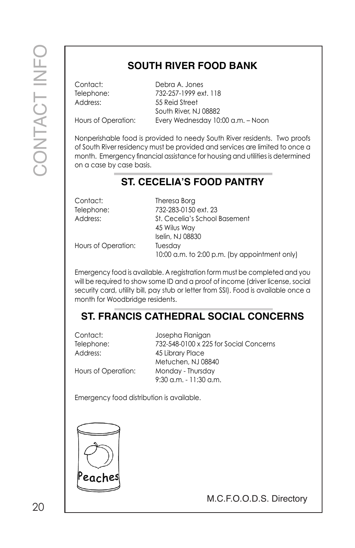## **SOUTH RIVER FOOD BANK**

Contact: Debra A. Jones Telephone: 732-257-1999 ext. 118 Address: 55 Reid Street South River, NJ 08882 Hours of Operation: Every Wednesday 10:00 a.m. – Noon

Nonperishable food is provided to needy South River residents. Two proofs of South River residency must be provided and services are limited to once a month. Emergency financial assistance for housing and utilities is determined on a case by case basis.

### **ST. CECELIA'S FOOD PANTRY**

| Theresa Borg<br>732-283-0150 ext. 23                     |
|----------------------------------------------------------|
| St. Cecelia's School Basement                            |
| 45 Wilus Way<br>Iselin, NJ 08830                         |
| Tuesday<br>10:00 a.m. to 2:00 p.m. (by appointment only) |
|                                                          |

Emergency food is available. A registration form must be completed and you will be required to show some ID and a proof of income (driver license, social security card, utility bill, pay stub or letter from SSI). Food is available once a month for Woodbridge residents.

## **ST. FRANCIS CATHEDRAL SOCIAL CONCERNS**

| Contact:            | Josepha Flanigan                       |
|---------------------|----------------------------------------|
| Telephone:          | 732-548-0100 x 225 for Social Concerns |
| Address:            | 45 Library Place                       |
|                     | Metuchen, NJ 08840                     |
| Hours of Operation: | Monday - Thursday                      |
|                     | $9:30$ a.m. $-11:30$ a.m.              |

Emergency food distribution is available.

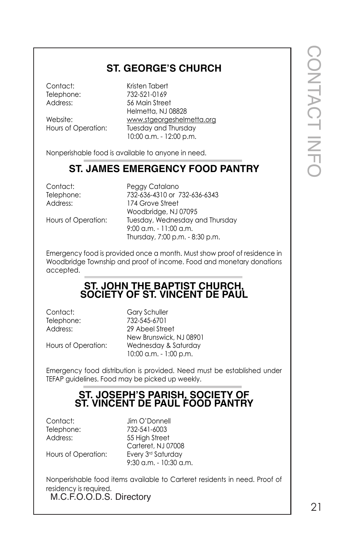#### **ST. GEORGE'S CHURCH**

Contact: Kristen Tabert Telephone: 732-521-0169<br>Address: 56 Main Stree 56 Main Street Helmetta, NJ 08828 Website: www.stgeorgeshelmetta.org<br>Hours of Operation: Tuesday and Thursday Tuesday and Thursday 10:00 a.m. - 12:00 p.m.

Nonperishable food is available to anyone in need.

#### **ST. JAMES EMERGENCY FOOD PANTRY**

Contact: Peggy Catalano Telephone: 732-636-4310 or 732-636-6343 Address: 174 Grove Street Woodbridge, NJ 07095 Hours of Operation: Tuesday, Wednesday and Thursday 9:00 a.m. - 11:00 a.m. Thursday, 7:00 p.m. - 8:30 p.m.

Emergency food is provided once a month. Must show proof of residence in Woodbridge Township and proof of income. Food and monetary donations accepted.

#### **ST. JOHN THE BAPTIST CHURCH, SOCIETY OF ST. VINCENT DE PAUL**

Contact: Gary Schuller

Telephone: 732-545-6701 Address: 29 Abeel Street New Brunswick, NJ 08901 Hours of Operation: Wednesday & Saturday 10:00 a.m. - 1:00 p.m.

Emergency food distribution is provided. Need must be established under TEFAP guidelines. Food may be picked up weekly.

#### **ST. JOSEPH'S PARISH, SOCIETY OF ST. VINCENT DE PAUL FOOD PANTRY**

Contact: Jim O'Donnell Telephone: 732-541-6003 Address: 55 High Street Carteret, NJ 07008 Hours of Operation: Every 3rd Saturday 9:30 a.m. - 10:30 a.m.

M.C.F.O.O.D.S. Directory Nonperishable food items available to Carteret residents in need. Proof of residency is required.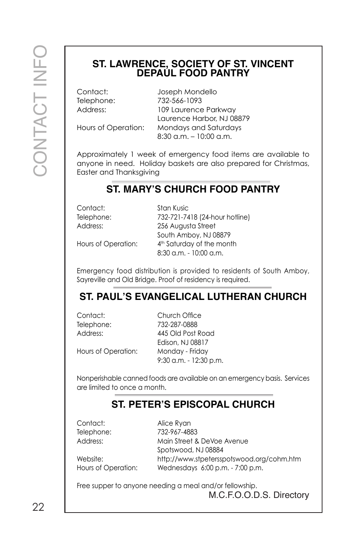# **ST. LAWRENCE, SOCIETY OF ST. VINCENT DEPAUL FOOD PANTRY**

Contact: Joseph Mondello Telephone: 732-566-1093 Address: 109 Laurence Parkway Laurence Harbor, NJ 08879 Hours of Operation: Mondays and Saturdays 8:30 a.m. – 10:00 a.m.

Approximately 1 week of emergency food items are available to anyone in need. Holiday baskets are also prepared for Christmas, Easter and Thanksgiving

#### **ST. MARY'S CHURCH FOOD PANTRY**

Contact: Stan Kusic

Telephone: 732-721-7418 (24-hour hotline) Address: 256 Augusta Street South Amboy, NJ 08879 Hours of Operation: 4<sup>th</sup> Saturday of the month 8:30 a.m. - 10:00 a.m.

Emergency food distribution is provided to residents of South Amboy, Sayreville and Old Bridge. Proof of residency is required.

## **ST. PAUL'S EVANGELICAL LUTHERAN CHURCH**

Contact: Church Office Telephone: 732-287-0888 Address: 445 Old Post Road Edison, NJ 08817 Hours of Operation: Monday - Friday 9:30 a.m. - 12:30 p.m.

Nonperishable canned foods are available on an emergency basis. Services are limited to once a month.

#### **ST. PETER'S EPISCOPAL CHURCH**

Contact: Alice Ryan

Telephone: 732-967-4883 Address: Main Street & DeVoe Avenue Spotswood, NJ 08884 Website: http://www.stpetersspotswood.org/cohm.htm Hours of Operation: Wednesdays 6:00 p.m. - 7:00 p.m.

Free supper to anyone needing a meal and/or fellowship.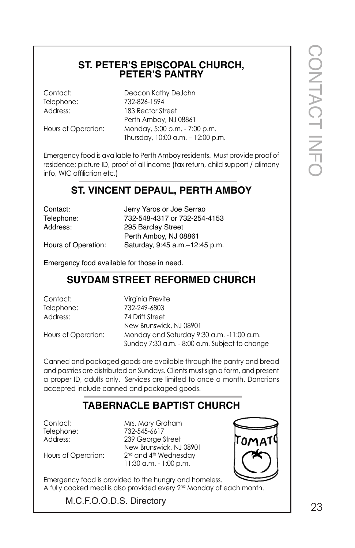# **ST. PETER'S EPISCOPAL CHURCH, PETER'S PANTRY**

Contact: Deacon Kathy DeJohn Telephone: 732-826-1594 Address: 183 Rector Street Perth Amboy, NJ 08861 Hours of Operation: Monday, 5:00 p.m. - 7:00 p.m. Thursday, 10:00 a.m. – 12:00 p.m.

Emergency food is available to Perth Amboy residents. Must provide proof of residence; picture ID, proof of all income (tax return, child support / alimony info, WIC affiliation etc.)

#### **ST. VINCENT DEPAUL, PERTH AMBOY**

| Contact:            | Jerry Yaros or Joe Serrao       |
|---------------------|---------------------------------|
| Telephone:          | 732-548-4317 or 732-254-4153    |
| Address:            | 295 Barclay Street              |
|                     | Perth Amboy, NJ 08861           |
| Hours of Operation: | Saturday, 9:45 a.m. -12:45 p.m. |

Emergency food available for those in need.

#### **SUYDAM STREET REFORMED CHURCH**

Contact: Virginia Previte Telephone: 732-249-6803 Address: 74 Drift Street New Brunswick, NJ 08901 Hours of Operation: Monday and Saturday 9:30 a.m. -11:00 a.m. Sunday 7:30 a.m. - 8:00 a.m. Subject to change

Canned and packaged goods are available through the pantry and bread and pastries are distributed on Sundays. Clients must sign a form, and present a proper ID, adults only. Services are limited to once a month. Donations accepted include canned and packaged goods.

## **TABERNACLE BAPTIST CHURCH**

Contact: Mrs. Mary Graham Telephone: 732-545-6617 Address: 239 George Street New Brunswick, NJ 08901 Hours of Operation: 2<sup>nd</sup> and 4<sup>th</sup> Wednesday 11:30 a.m. - 1:00 p.m.



CONTACT CONTACT INFO

M.C.F.O.O.D.S. Directory 23

Emergency food is provided to the hungry and homeless.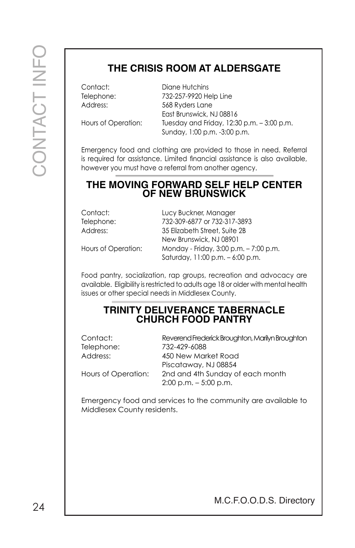## **THE CRISIS ROOM AT ALDERSGATE**

Contact: Diane Hutchins Telephone: 732-257-9920 Help Line Address: 568 Ryders Lane East Brunswick, NJ 08816 Hours of Operation: Tuesday and Friday, 12:30 p.m. - 3:00 p.m. Sunday, 1:00 p.m. -3:00 p.m.

Emergency food and clothing are provided to those in need. Referral is required for assistance. Limited financial assistance is also available, however you must have a referral from another agency.

#### **THE MOVING FORWARD SELF HELP CENTER OF NEW BRUNSWICK**

| Contact:            | Lucy Buckner, Manager                  |
|---------------------|----------------------------------------|
| Telephone:          | 732-309-6877 or 732-317-3893           |
| Address:            | 35 Elizabeth Street, Suite 2B          |
|                     | New Brunswick, NJ 08901                |
| Hours of Operation: | Monday - Friday, 3:00 p.m. - 7:00 p.m. |
|                     | Saturday, 11:00 p.m. - 6:00 p.m.       |

Food pantry, socialization, rap groups, recreation and advocacy are available. Eligibility is restricted to adults age 18 or older with mental health issues or other special needs in Middlesex County.

#### **TRINITY DELIVERANCE TABERNACLE CHURCH FOOD PANTRY**

| Contact:            | Reverend Frederick Broughton, Marilyn Broughton |
|---------------------|-------------------------------------------------|
| Telephone:          | 732-429-6088                                    |
| Address:            | 450 New Market Road                             |
|                     | Piscataway, NJ 08854                            |
| Hours of Operation: | 2nd and 4th Sunday of each month                |
|                     | $2:00$ p.m. $-5:00$ p.m.                        |

Emergency food and services to the community are available to Middlesex County residents.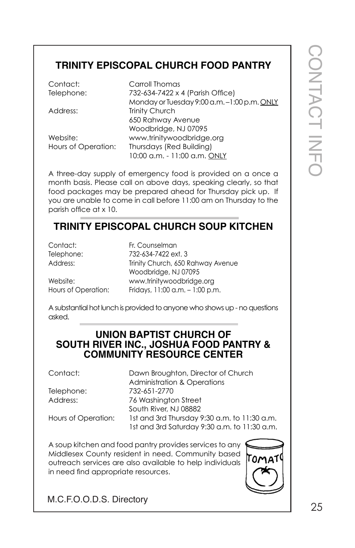## **TRINITY EPISCOPAL CHURCH FOOD PANTRY**

| Contact:            | Carroll Thomas                              |
|---------------------|---------------------------------------------|
| Telephone:          | 732-634-7422 x 4 (Parish Office)            |
|                     | Monday or Tuesday 9:00 a.m. -1:00 p.m. ONLY |
| Address:            | <b>Trinity Church</b>                       |
|                     | 650 Rahway Avenue                           |
|                     | Woodbridge, NJ 07095                        |
| Website:            | www.trinitywoodbridge.org                   |
| Hours of Operation: | Thursdays (Red Building)                    |
|                     | 10:00 a.m. - 11:00 a.m. ONLY                |

A three-day supply of emergency food is provided on a once a month basis. Please call on above days, speaking clearly, so that food packages may be prepared ahead for Thursday pick up. If you are unable to come in call before 11:00 am on Thursday to the parish office at x 10.

## **TRINITY EPISCOPAL CHURCH SOUP KITCHEN**

| Contact:            | Fr. Counselman                     |
|---------------------|------------------------------------|
| Telephone:          | 732-634-7422 ext. 3                |
| Address:            | Trinity Church, 650 Rahway Avenue  |
|                     | Woodbridge, NJ 07095               |
| Website:            | www.trinitywoodbridge.org          |
| Hours of Operation: | Fridays, $11:00$ a.m. $-1:00$ p.m. |

A substantial hot lunch is provided to anyone who shows up - no questions asked.

#### **UNION BAPTIST CHURCH OF SOUTH RIVER INC., JOSHUA FOOD PANTRY & COMMUNITY RESOURCE CENTER**

Contact: Dawn Broughton, Director of Church Administration & Operations Telephone: 732-651-2770 Address: 76 Washington Street South River, NJ 08882 Hours of Operation: 1st and 3rd Thursday 9:30 a.m. to 11:30 a.m. 1st and 3rd Saturday 9:30 a.m. to 11:30 a.m.

A soup kitchen and food pantry provides services to any Middlesex County resident in need. Community based outreach services are also available to help individuals in need find appropriate resources.

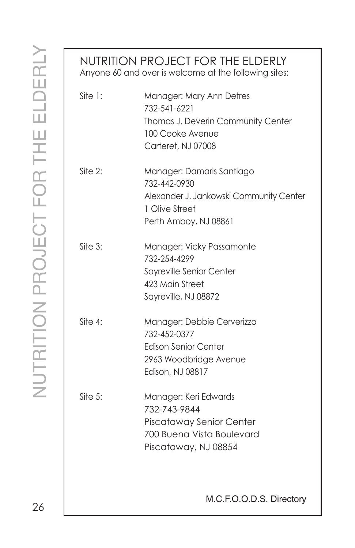| NUTRITION PROJECT FOR THE ELDERLY<br>Anyone 60 and over is welcome at the following sites: |                                                                                                                                 |  |
|--------------------------------------------------------------------------------------------|---------------------------------------------------------------------------------------------------------------------------------|--|
| Site 1:                                                                                    | Manager: Mary Ann Detres<br>732-541-6221<br>Thomas J. Deverin Community Center<br>100 Cooke Avenue<br>Carteret, NJ 07008        |  |
| Site 2:                                                                                    | Manager: Damaris Santiago<br>732-442-0930<br>Alexander J. Jankowski Community Center<br>1 Olive Street<br>Perth Amboy, NJ 08861 |  |
| $\text{Site } 3:$                                                                          | Manager: Vicky Passamonte<br>732-254-4299<br>Sayreville Senior Center<br>423 Main Street<br>Sayreville, NJ 08872                |  |
| Site 4:                                                                                    | Manager: Debbie Cerverizzo<br>732-452-0377<br><b>Edison Senior Center</b><br>2963 Woodbridge Avenue<br>Edison, NJ 08817         |  |
| Site $5:$                                                                                  | Manager: Keri Edwards<br>732-743-9844<br>Piscataway Senior Center<br>700 Buena Vista Boulevard<br>Piscataway, NJ 08854          |  |
|                                                                                            | M.C.F.O.O.D.S. Directory                                                                                                        |  |

26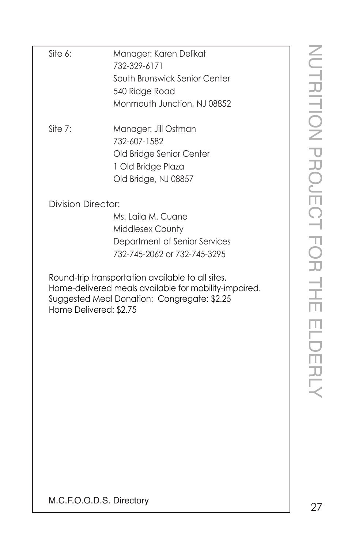| Site 6:                   | Manager: Karen Delikat                                                                               |                  |
|---------------------------|------------------------------------------------------------------------------------------------------|------------------|
|                           | 732-329-6171                                                                                         |                  |
|                           | South Brunswick Senior Center                                                                        |                  |
|                           | 540 Ridge Road                                                                                       |                  |
|                           | Monmouth Junction, NJ 08852                                                                          |                  |
|                           |                                                                                                      |                  |
| Site 7:                   | Manager: Jill Ostman                                                                                 |                  |
|                           | 732-607-1582                                                                                         |                  |
|                           | Old Bridge Senior Center                                                                             |                  |
|                           | 1 Old Bridge Plaza                                                                                   |                  |
|                           | Old Bridge, NJ 08857                                                                                 |                  |
| <b>Division Director:</b> |                                                                                                      | UTRITION PROJECT |
|                           | Ms. Laila M. Cuane                                                                                   |                  |
|                           | Middlesex County                                                                                     |                  |
|                           | Department of Senior Services                                                                        |                  |
|                           | 732-745-2062 or 732-745-3295                                                                         |                  |
|                           |                                                                                                      |                  |
|                           | Round-trip transportation available to all sites.                                                    |                  |
|                           | Home-delivered meals available for mobility-impaired.<br>Suggested Meal Donation: Congregate: \$2.25 |                  |
| Home Delivered: \$2.75    |                                                                                                      |                  |
|                           |                                                                                                      |                  |
|                           |                                                                                                      |                  |
|                           |                                                                                                      |                  |
|                           |                                                                                                      |                  |
|                           |                                                                                                      |                  |
|                           |                                                                                                      |                  |
|                           |                                                                                                      |                  |
|                           |                                                                                                      |                  |
|                           |                                                                                                      |                  |
|                           |                                                                                                      |                  |
|                           |                                                                                                      |                  |
|                           |                                                                                                      |                  |
|                           |                                                                                                      |                  |
| M.C.F.O.O.D.S. Directory  |                                                                                                      |                  |
|                           |                                                                                                      | 27               |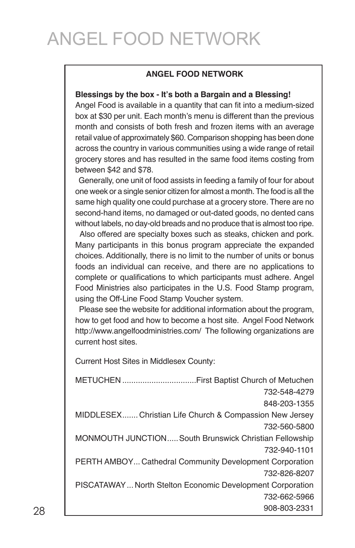## ANGEL FOOD NETWORK

#### **ANGEL FOOD NETWORK**

#### **Blessings by the box - It's both a Bargain and a Blessing!**

Angel Food is available in a quantity that can fit into a medium-sized box at \$30 per unit. Each month's menu is different than the previous month and consists of both fresh and frozen items with an average retail value of approximately \$60. Comparison shopping has been done across the country in various communities using a wide range of retail grocery stores and has resulted in the same food items costing from between \$42 and \$78.

 Generally, one unit of food assists in feeding a family of four for about one week or a single senior citizen for almost a month.The food is all the same high quality one could purchase at a grocery store. There are no second-hand items, no damaged or out-dated goods, no dented cans without labels, no day-old breads and no produce that is almost too ripe.

 Also offered are specialty boxes such as steaks, chicken and pork. Many participants in this bonus program appreciate the expanded choices. Additionally, there is no limit to the number of units or bonus foods an individual can receive, and there are no applications to complete or qualifications to which participants must adhere. Angel Food Ministries also participates in the U.S. Food Stamp program, using the Off-Line Food Stamp Voucher system.

 Please see the website for additional information about the program, how to get food and how to become a host site. Angel Food Network http://www.angelfoodministries.com/ The following organizations are current host sites.

Current Host Sites in Middlesex County:

METUCHEN .................................First Baptist Church of Metuchen 732-548-4279 848-203-1355 MIDDLESEX....... Christian Life Church & Compassion New Jersey 732-560-5800 MONMOUTH JUNCTION.....South Brunswick Christian Fellowship 732-940-1101 PERTH AMBOY... Cathedral Community Development Corporation 732-826-8207 PISCATAWAY... North Stelton Economic Development Corporation 732-662-5966 908-803-2331 28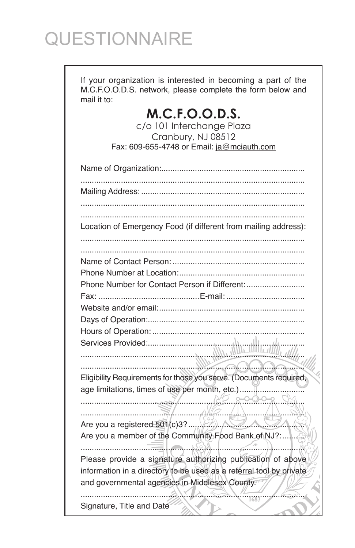# QUESTIONNAIRE

If your organization is interested in becoming a part of the M.C.F.O.O.D.S. network, please complete the form below and mail it to:

## M.C.F.O.O.D.S.

c/o 101 Interchange Plaza Cranbury, NJ 08512 Fax: 609-655-4748 or Email: ja@mciauth.com

| Location of Emergency Food (if different from mailing address):     |
|---------------------------------------------------------------------|
|                                                                     |
|                                                                     |
|                                                                     |
| Phone Number for Contact Person if Different:                       |
|                                                                     |
|                                                                     |
|                                                                     |
|                                                                     |
|                                                                     |
|                                                                     |
| Eligibility Requirements for those you serve. (Documents required,  |
| age limitations, times of use per month, etc.)                      |
|                                                                     |
|                                                                     |
| Are you a registered $501(c)3?$<br><u>NY ANI</u>                    |
| Are you a member of the Community Food Bank of NJ?:                 |
| Please provide a signature authorizing publication of above         |
| information in a directory to be used as a referral tool by private |
| and governmental agencies in Middlesex County.                      |
| 1683<br>Signature, Title and Date                                   |
|                                                                     |